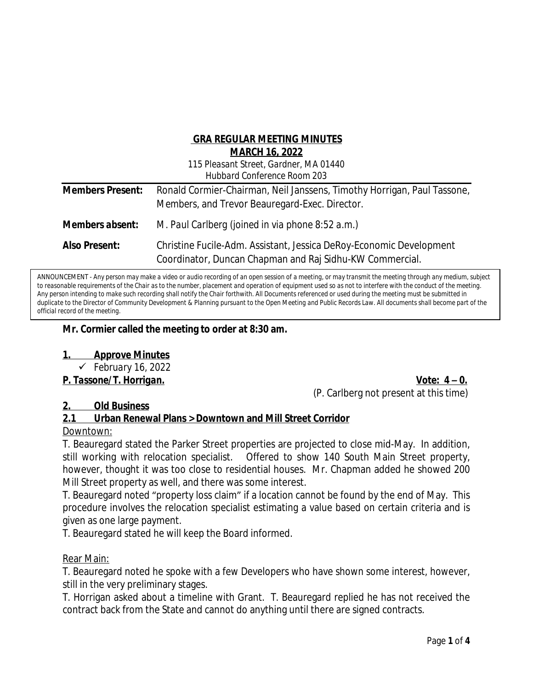## **GRA REGULAR MEETING MINUTES MARCH 16, 2022**

| 115 Pleasant Street, Gardner, MA 01440 |
|----------------------------------------|
| <b>Hubbard Conference Room 203</b>     |

| <b>Members Present:</b> | Ronald Cormier-Chairman, Neil Janssens, Timothy Horrigan, Paul Tassone,<br>Members, and Trevor Beauregard-Exec. Director.       |
|-------------------------|---------------------------------------------------------------------------------------------------------------------------------|
| Members absent:         | M. Paul Carlberg (joined in via phone 8:52 a.m.)                                                                                |
| <b>Also Present:</b>    | Christine Fucile-Adm. Assistant, Jessica DeRoy-Economic Development<br>Coordinator, Duncan Chapman and Raj Sidhu-KW Commercial. |

ANNOUNCEMENT - *Any person may make a video or audio recording of an open session of a meeting, or may transmit the meeting through any medium, subject to reasonable requirements of the Chair as to the number, placement and operation of equipment used so as not to interfere with the conduct of the meeting. Any person intending to make such recording shall notify the Chair forthwith. All Documents referenced or used during the meeting must be submitted in duplicate to the Director of Community Development & Planning pursuant to the Open Meeting and Public Records Law. All documents shall become part of the official record of the meeting.* 

### **Mr. Cormier called the meeting to order at 8:30 am.**

#### **1. Approve Minutes**

*February 16, 2022*

*P. Tassone/T. Horrigan. Vote: 4 – 0.* (P. Carlberg not present at this time)

#### **2. Old Business**

## **2.1 Urban Renewal Plans > Downtown and Mill Street Corridor**

#### Downtown:

T. Beauregard stated the Parker Street properties are projected to close mid-May. In addition, still working with relocation specialist. Offered to show 140 South Main Street property, however, thought it was too close to residential houses. Mr. Chapman added he showed 200 Mill Street property as well, and there was some interest.

T. Beauregard noted "property loss claim" if a location cannot be found by the end of May. This procedure involves the relocation specialist estimating a value based on certain criteria and is given as one large payment.

T. Beauregard stated he will keep the Board informed.

#### Rear Main:

T. Beauregard noted he spoke with a few Developers who have shown some interest, however, still in the very preliminary stages.

T. Horrigan asked about a timeline with Grant. T. Beauregard replied he has not received the contract back from the State and cannot do anything until there are signed contracts.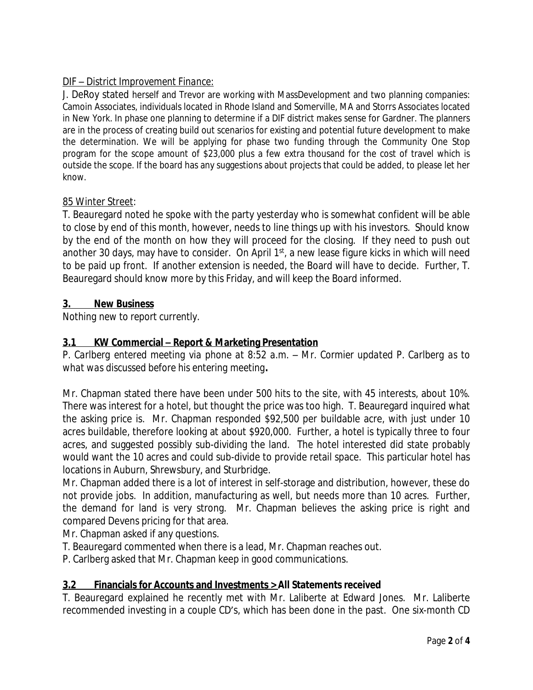# DIF – *District Improvement Finance:*

J. DeRoy stated herself and Trevor are working with MassDevelopment and two planning companies: Camoin Associates, individuals located in Rhode Island and Somerville, MA and Storrs Associates located in New York. In phase one planning to determine if a DIF district makes sense for Gardner. The planners are in the process of creating build out scenarios for existing and potential future development to make the determination. We will be applying for phase two funding through the Community One Stop program for the scope amount of \$23,000 plus a few extra thousand for the cost of travel which is outside the scope. If the board has any suggestions about projects that could be added, to please let her know.

### 85 Winter Street:

T. Beauregard noted he spoke with the party yesterday who is somewhat confident will be able to close by end of this month, however, needs to line things up with his investors. Should know by the end of the month on how they will proceed for the closing. If they need to push out another 30 days, may have to consider. On April 1st, a new lease figure kicks in which will need to be paid up front. If another extension is needed, the Board will have to decide. Further, T. Beauregard should know more by this Friday, and will keep the Board informed.

## **3. New Business**

*Nothing new to report currently.*

# **3.1 KW Commercial – Report & Marketing Presentation**

*P. Carlberg entered meeting via phone at 8:52 a.m. – Mr. Cormier updated P. Carlberg as to what was discussed before his entering meeting.*

Mr. Chapman stated there have been under 500 hits to the site, with 45 interests, about 10%. There was interest for a hotel, but thought the price was too high. T. Beauregard inquired what the asking price is. Mr. Chapman responded \$92,500 per buildable acre, with just under 10 acres buildable, therefore looking at about \$920,000. Further, a hotel is typically three to four acres, and suggested possibly sub-dividing the land. The hotel interested did state probably would want the 10 acres and could sub-divide to provide retail space. This particular hotel has locations in Auburn, Shrewsbury, and Sturbridge.

Mr. Chapman added there is a lot of interest in self-storage and distribution, however, these do not provide jobs. In addition, manufacturing as well, but needs more than 10 acres. Further, the demand for land is very strong. Mr. Chapman believes the asking price is right and compared Devens pricing for that area.

Mr. Chapman asked if any questions.

- T. Beauregard commented when there is a lead, Mr. Chapman reaches out.
- P. Carlberg asked that Mr. Chapman keep in good communications.

## **3.2 Financials for Accounts and Investments > All Statements received**

T. Beauregard explained he recently met with Mr. Laliberte at Edward Jones. Mr. Laliberte recommended investing in a couple CD's, which has been done in the past. One six-month CD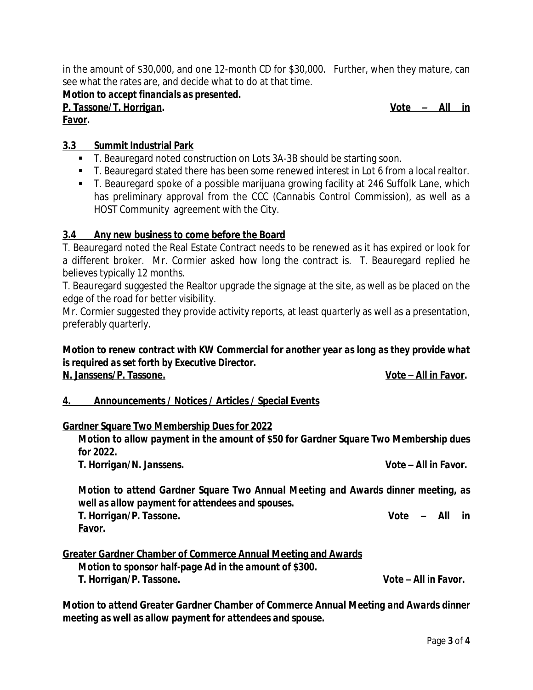in the amount of \$30,000, and one 12-month CD for \$30,000. Further, when they mature, can see what the rates are, and decide what to do at that time.

*Motion to accept financials as presented.*

*P. Tassone/T. Horrigan. Vote – All in Favor.*

#### **3.3 Summit Industrial Park**

- T. Beauregard noted construction on Lots 3A-3B should be starting soon.
- T. Beauregard stated there has been some renewed interest in Lot 6 from a local realtor.
- T. Beauregard spoke of a possible marijuana growing facility at 246 Suffolk Lane, which has preliminary approval from the CCC (*Cannabis Control Commission*), as well as a HOST Community agreement with the City.

### **3.4 Any new business to come before the Board**

T. Beauregard noted the Real Estate Contract needs to be renewed as it has expired or look for a different broker. Mr. Cormier asked how long the contract is. T. Beauregard replied he believes typically 12 months.

T. Beauregard suggested the Realtor upgrade the signage at the site, as well as be placed on the edge of the road for better visibility.

Mr. Cormier suggested they provide activity reports, at least quarterly as well as a presentation, preferably quarterly.

#### *Motion to renew contract with KW Commercial for another year as long as they provide what is required as set forth by Executive Director.* **N. Janssens/P. Tassone.** *Vote – All in Favor***.**

## **4. Announcements / Notices / Articles / Special Events**

#### **Gardner Square Two Membership Dues for 2022**

*Motion to allow payment in the amount of \$50 for Gardner Square Two Membership dues for 2022.*

*T. Horrigan/N. Janssens. Vote – All in Favor.*

*Motion to attend Gardner Square Two Annual Meeting and Awards dinner meeting, as well as allow payment for attendees and spouses. T. Horrigan/P. Tassone. Vote – All in Favor.*

**Greater Gardner Chamber of Commerce Annual Meeting and Awards** *Motion to sponsor half-page Ad in the amount of \$300. T. Horrigan/P. Tassone. Vote – All in Favor.*

*Motion to attend Greater Gardner Chamber of Commerce Annual Meeting and Awards dinner meeting as well as allow payment for attendees and spouse.*